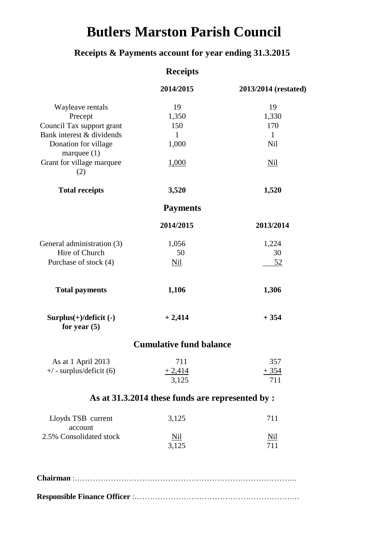## **Butlers Marston Parish Council**

### **Receipts & Payments account for year ending 31.3.2015**

|                                            | <b>Receipts</b>                                 |                      |
|--------------------------------------------|-------------------------------------------------|----------------------|
|                                            | 2014/2015                                       | 2013/2014 (restated) |
| Wayleave rentals                           | 19                                              | 19                   |
| Precept                                    | 1,350                                           | 1,330                |
| Council Tax support grant                  | 150                                             | 170                  |
| Bank interest & dividends                  | $\mathbf{1}$                                    | $\mathbf{1}$         |
| Donation for village<br>marquee $(1)$      | 1,000                                           | <b>Nil</b>           |
| Grant for village marquee<br>(2)           | <u>1,000</u>                                    | <b>Nil</b>           |
| <b>Total receipts</b>                      | 3,520                                           | 1,520                |
|                                            | <b>Payments</b>                                 |                      |
|                                            | 2014/2015                                       | 2013/2014            |
| General administration (3)                 | 1,056                                           | 1,224                |
| Hire of Church                             | 50                                              | 30                   |
| Purchase of stock (4)                      | <b>Nil</b>                                      | <u>52</u>            |
| <b>Total payments</b>                      | 1,106                                           | 1,306                |
| $Surplus(+)/deficit (-)$<br>for year $(5)$ | $+2,414$                                        | $+354$               |
|                                            | <b>Cumulative fund balance</b>                  |                      |
| As at 1 April 2013                         | 711                                             | 357                  |
| $+/-$ surplus/deficit (6)                  | $+2,414$                                        | $+354$               |
|                                            | 3,125                                           | 711                  |
|                                            | As at 31.3.2014 these funds are represented by: |                      |
| Lloyds TSB current<br>account              | 3,125                                           | 711                  |
| 2.5% Consolidated stock                    | <u>Nil</u>                                      | <u>Nil</u>           |
|                                            | 3,125                                           | 711                  |
|                                            |                                                 |                      |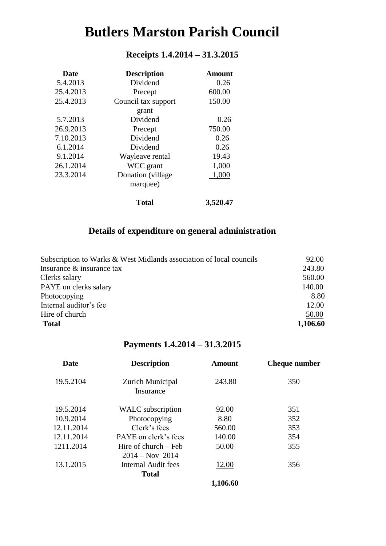# **Butlers Marston Parish Council**

#### **Receipts 1.4.2014 – 31.3.2015**

| <b>Date</b> | <b>Description</b>  | Amount   |
|-------------|---------------------|----------|
| 5.4.2013    | Dividend            | 0.26     |
| 25.4.2013   | Precept             | 600.00   |
| 25.4.2013   | Council tax support | 150.00   |
|             | grant               |          |
| 5.7.2013    | Dividend            | 0.26     |
| 26.9.2013   | Precept             | 750.00   |
| 7.10.2013   | Dividend            | 0.26     |
| 6.1.2014    | Dividend            | 0.26     |
| 9.1.2014    | Wayleave rental     | 19.43    |
| 26.1.2014   | WCC grant           | 1,000    |
| 23.3.2014   | Donation (village)  | 1,000    |
|             | marquee)            |          |
|             | Total               | 3,520.47 |

#### **Details of expenditure on general administration**

| Subscription to Warks & West Midlands association of local councils | 92.00    |
|---------------------------------------------------------------------|----------|
| Insurance & insurance tax                                           | 243.80   |
| Clerks salary                                                       | 560.00   |
| PAYE on clerks salary                                               | 140.00   |
| Photocopying                                                        | 8.80     |
| Internal auditor's fee                                              | 12.00    |
| Hire of church                                                      | 50.00    |
| <b>Total</b>                                                        | 1,106.60 |

#### **Payments 1.4.2014 – 31.3.2015**

| <b>Date</b> | <b>Description</b>                        | Amount   | <b>Cheque number</b> |
|-------------|-------------------------------------------|----------|----------------------|
| 19.5.2104   | Zurich Municipal<br>Insurance             | 243.80   | 350                  |
| 19.5.2014   | WALC subscription                         | 92.00    | 351                  |
| 10.9.2014   | Photocopying                              | 8.80     | 352                  |
| 12.11.2014  | Clerk's fees                              | 560.00   | 353                  |
| 12.11.2014  | PAYE on clerk's fees                      | 140.00   | 354                  |
| 1211.2014   | Hire of church – Feb<br>$2014 - Nov 2014$ | 50.00    | 355                  |
| 13.1.2015   | Internal Audit fees                       | 12.00    | 356                  |
|             | <b>Total</b>                              |          |                      |
|             |                                           | 1,106.60 |                      |